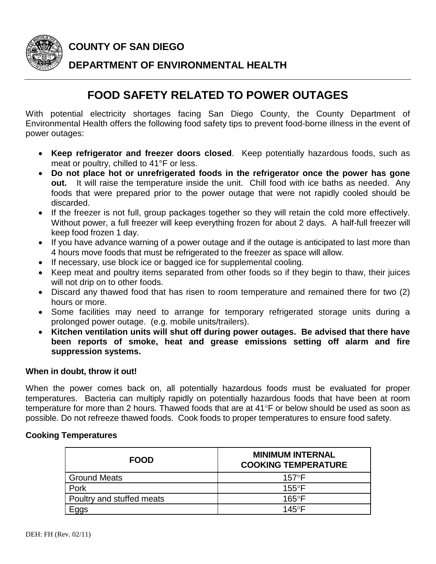

**COUNTY OF SAN DIEGO**

## **DEPARTMENT OF ENVIRONMENTAL HEALTH**

## **FOOD SAFETY RELATED TO POWER OUTAGES**

With potential electricity shortages facing San Diego County, the County Department of Environmental Health offers the following food safety tips to prevent food-borne illness in the event of power outages:

- **Keep refrigerator and freezer doors closed**. Keep potentially hazardous foods, such as meat or poultry, chilled to 41°F or less.
- **Do not place hot or unrefrigerated foods in the refrigerator once the power has gone out.** It will raise the temperature inside the unit. Chill food with ice baths as needed. Any foods that were prepared prior to the power outage that were not rapidly cooled should be discarded.
- If the freezer is not full, group packages together so they will retain the cold more effectively. Without power, a full freezer will keep everything frozen for about 2 days. A half-full freezer will keep food frozen 1 day.
- If you have advance warning of a power outage and if the outage is anticipated to last more than 4 hours move foods that must be refrigerated to the freezer as space will allow.
- If necessary, use block ice or bagged ice for supplemental cooling.
- Keep meat and poultry items separated from other foods so if they begin to thaw, their juices will not drip on to other foods.
- Discard any thawed food that has risen to room temperature and remained there for two (2) hours or more.
- Some facilities may need to arrange for temporary refrigerated storage units during a prolonged power outage. (e.g. mobile units/trailers).
- **Kitchen ventilation units will shut off during power outages. Be advised that there have been reports of smoke, heat and grease emissions setting off alarm and fire suppression systems.**

## **When in doubt, throw it out!**

When the power comes back on, all potentially hazardous foods must be evaluated for proper temperatures. Bacteria can multiply rapidly on potentially hazardous foods that have been at room temperature for more than 2 hours. Thawed foods that are at 41°F or below should be used as soon as possible. Do not refreeze thawed foods. Cook foods to proper temperatures to ensure food safety.

## **Cooking Temperatures**

| <b>FOOD</b>               | <b>MINIMUM INTERNAL</b><br><b>COOKING TEMPERATURE</b> |
|---------------------------|-------------------------------------------------------|
| <b>Ground Meats</b>       | $157^{\circ}$ F                                       |
| Pork                      | $155^{\circ}$ F                                       |
| Poultry and stuffed meats | $165^{\circ}$ F                                       |
| Eggs                      | $145^{\circ}$ F                                       |